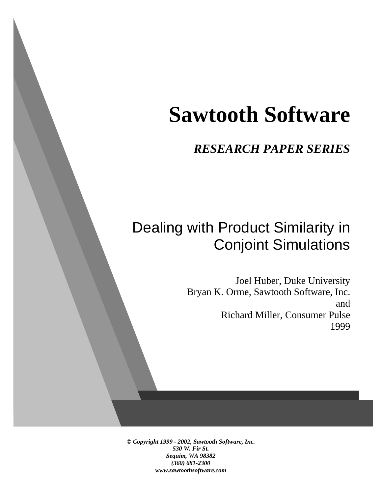# **Sawtooth Software**

*RESEARCH PAPER SERIES*

## Dealing with Product Similarity in Conjoint Simulations

Joel Huber, Duke University Bryan K. Orme, Sawtooth Software, Inc. and Richard Miller, Consumer Pulse 1999

*© Copyright 1999 - 2002, Sawtooth Software, Inc. 530 W. Fir St. Sequim, WA 98382 (360) 681-2300 www.sawtoothsoftware.com*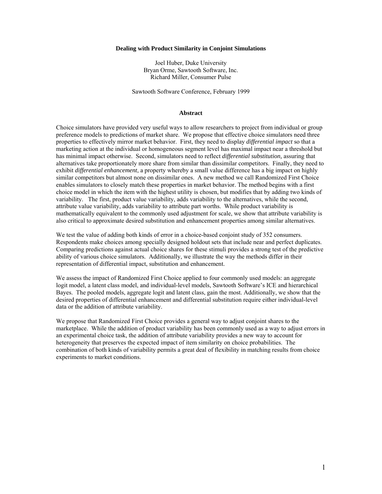#### **Dealing with Product Similarity in Conjoint Simulations**

Joel Huber, Duke University Bryan Orme, Sawtooth Software, Inc. Richard Miller, Consumer Pulse

Sawtooth Software Conference, February 1999

#### **Abstract**

Choice simulators have provided very useful ways to allow researchers to project from individual or group preference models to predictions of market share. We propose that effective choice simulators need three properties to effectively mirror market behavior. First, they need to display *differential impact* so that a marketing action at the individual or homogeneous segment level has maximal impact near a threshold but has minimal impact otherwise. Second, simulators need to reflect *differential substitution,* assuring that alternatives take proportionately more share from similar than dissimilar competitors. Finally, they need to exhibit *differential enhancement*, a property whereby a small value difference has a big impact on highly similar competitors but almost none on dissimilar ones. A new method we call Randomized First Choice enables simulators to closely match these properties in market behavior. The method begins with a first choice model in which the item with the highest utility is chosen, but modifies that by adding two kinds of variability. The first, product value variability, adds variability to the alternatives, while the second, attribute value variability, adds variability to attribute part worths. While product variability is mathematically equivalent to the commonly used adjustment for scale, we show that attribute variability is also critical to approximate desired substitution and enhancement properties among similar alternatives.

We test the value of adding both kinds of error in a choice-based conjoint study of 352 consumers. Respondents make choices among specially designed holdout sets that include near and perfect duplicates. Comparing predictions against actual choice shares for these stimuli provides a strong test of the predictive ability of various choice simulators. Additionally, we illustrate the way the methods differ in their representation of differential impact, substitution and enhancement.

We assess the impact of Randomized First Choice applied to four commonly used models: an aggregate logit model, a latent class model, and individual-level models, Sawtooth Software's ICE and hierarchical Bayes. The pooled models, aggregate logit and latent class, gain the most. Additionally, we show that the desired properties of differential enhancement and differential substitution require either individual-level data or the addition of attribute variability.

We propose that Randomized First Choice provides a general way to adjust conjoint shares to the marketplace. While the addition of product variability has been commonly used as a way to adjust errors in an experimental choice task, the addition of attribute variability provides a new way to account for heterogeneity that preserves the expected impact of item similarity on choice probabilities. The combination of both kinds of variability permits a great deal of flexibility in matching results from choice experiments to market conditions.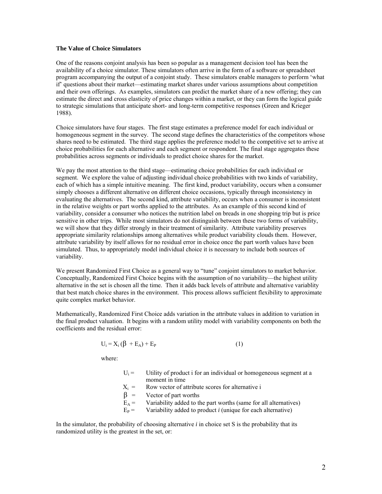#### **The Value of Choice Simulators**

One of the reasons conjoint analysis has been so popular as a management decision tool has been the availability of a choice simulator. These simulators often arrive in the form of a software or spreadsheet program accompanying the output of a conjoint study. These simulators enable managers to perform 'what if' questions about their market—estimating market shares under various assumptions about competition and their own offerings. As examples, simulators can predict the market share of a new offering; they can estimate the direct and cross elasticity of price changes within a market, or they can form the logical guide to strategic simulations that anticipate short- and long-term competitive responses (Green and Krieger 1988).

Choice simulators have four stages. The first stage estimates a preference model for each individual or homogeneous segment in the survey. The second stage defines the characteristics of the competitors whose shares need to be estimated. The third stage applies the preference model to the competitive set to arrive at choice probabilities for each alternative and each segment or respondent. The final stage aggregates these probabilities across segments or individuals to predict choice shares for the market.

We pay the most attention to the third stage—estimating choice probabilities for each individual or segment. We explore the value of adjusting individual choice probabilities with two kinds of variability, each of which has a simple intuitive meaning. The first kind, product variability, occurs when a consumer simply chooses a different alternative on different choice occasions, typically through inconsistency in evaluating the alternatives. The second kind, attribute variability, occurs when a consumer is inconsistent in the relative weights or part worths applied to the attributes. As an example of this second kind of variability, consider a consumer who notices the nutrition label on breads in one shopping trip but is price sensitive in other trips. While most simulators do not distinguish between these two forms of variability, we will show that they differ strongly in their treatment of similarity. Attribute variability preserves appropriate similarity relationships among alternatives while product variability clouds them. However, attribute variability by itself allows for no residual error in choice once the part worth values have been simulated. Thus, to appropriately model individual choice it is necessary to include both sources of variability.

We present Randomized First Choice as a general way to "tune" conjoint simulators to market behavior. Conceptually, Randomized First Choice begins with the assumption of no variability—the highest utility alternative in the set is chosen all the time. Then it adds back levels of attribute and alternative variablity that best match choice shares in the environment. This process allows sufficient flexibility to approximate quite complex market behavior.

Mathematically, Randomized First Choice adds variation in the attribute values in addition to variation in the final product valuation. It begins with a random utility model with variability components on both the coefficients and the residual error:

$$
U_i = X_i (\beta + E_A) + E_P \tag{1}
$$

where:

- $U_i$  = Utility of product i for an individual or homogeneous segment at a moment in time
- $X_i$  = Row vector of attribute scores for alternative i
- $\beta$  = Vector of part worths
- $E_A$  = Variability added to the part worths (same for all alternatives)
- $E_P$  = Variability added to product *i* (unique for each alternative)

In the simulator, the probability of choosing alternative  $i$  in choice set S is the probability that its randomized utility is the greatest in the set, or: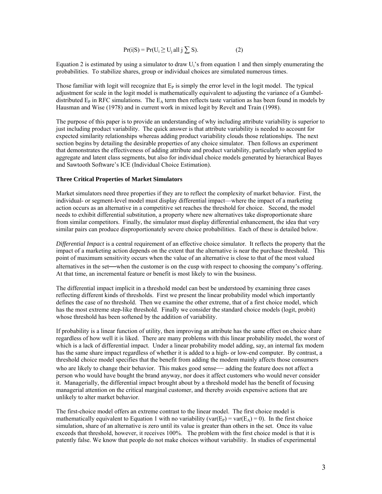$$
Pr(i|S) = Pr(U_i \ge U_j \text{ all } j \sum S).
$$
 (2)

Equation 2 is estimated by using a simulator to draw  $U_i$ 's from equation 1 and then simply enumerating the probabilities. To stabilize shares, group or individual choices are simulated numerous times.

Those familiar with logit will recognize that  $E<sub>P</sub>$  is simply the error level in the logit model. The typical adjustment for scale in the logit model is mathematically equivalent to adjusting the variance of a Gumbeldistributed  $E<sub>P</sub>$  in RFC simulations. The  $E<sub>A</sub>$  term then reflects taste variation as has been found in models by Hausman and Wise (1978) and in current work in mixed logit by Revelt and Train (1998).

The purpose of this paper is to provide an understanding of why including attribute variability is superior to just including product variability. The quick answer is that attribute variability is needed to account for expected similarity relationships whereas adding product variability clouds those relationships. The next section begins by detailing the desirable properties of any choice simulator. Then follows an experiment that demonstrates the effectiveness of adding attribute and product variability, particularly when applied to aggregate and latent class segments, but also for individual choice models generated by hierarchical Bayes and Sawtooth Software's ICE (Individual Choice Estimation).

#### **Three Critical Properties of Market Simulators**

Market simulators need three properties if they are to reflect the complexity of market behavior. First, the individual- or segment-level model must display differential impact—where the impact of a marketing action occurs as an alternative in a competitive set reaches the threshold for choice. Second, the model needs to exhibit differential substitution, a property where new alternatives take disproportionate share from similar competitors. Finally, the simulator must display differential enhancement, the idea that very similar pairs can produce disproportionately severe choice probabilities. Each of these is detailed below.

*Differential Impact* is a central requirement of an effective choice simulator. It reflects the property that the impact of a marketing action depends on the extent that the alternative is near the purchase threshold. This point of maximum sensitivity occurs when the value of an alternative is close to that of the most valued alternatives in the set**—**when the customer is on the cusp with respect to choosing the company's offering. At that time, an incremental feature or benefit is most likely to win the business.

The differential impact implicit in a threshold model can best be understood by examining three cases reflecting different kinds of thresholds. First we present the linear probability model which importantly defines the case of no threshold. Then we examine the other extreme, that of a first choice model, which has the most extreme step-like threshold. Finally we consider the standard choice models (logit, probit) whose threshold has been softened by the addition of variability.

If probability is a linear function of utility, then improving an attribute has the same effect on choice share regardless of how well it is liked. There are many problems with this linear probability model, the worst of which is a lack of differential impact. Under a linear probability model adding, say, an internal fax modem has the same share impact regardless of whether it is added to a high- or low-end computer. By contrast, a threshold choice model specifies that the benefit from adding the modem mainly affects those consumers who are likely to change their behavior. This makes good sense— adding the feature does not affect a person who would have bought the brand anyway, nor does it affect customers who would never consider it. Managerially, the differential impact brought about by a threshold model has the benefit of focusing managerial attention on the critical marginal customer, and thereby avoids expensive actions that are unlikely to alter market behavior.

The first-choice model offers an extreme contrast to the linear model. The first choice model is mathematically equivalent to Equation 1 with no variability ( $var(E_P) = var(E_A) = 0$ ). In the first choice simulation, share of an alternative is zero until its value is greater than others in the set. Once its value exceeds that threshold, however, it receives 100%. The problem with the first choice model is that it is patently false. We know that people do not make choices without variability. In studies of experimental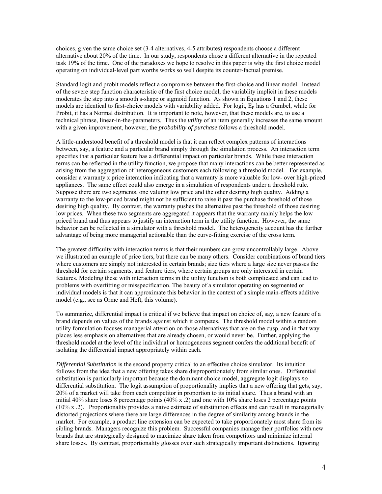choices, given the same choice set (3-4 alternatives, 4-5 attributes) respondents choose a different alternative about 20% of the time. In our study, respondents chose a different alternative in the repeated task 19% of the time. One of the paradoxes we hope to resolve in this paper is why the first choice model operating on individual-level part worths works so well despite its counter-factual premise.

Standard logit and probit models reflect a compromise between the first-choice and linear model. Instead of the severe step function characteristic of the first choice model, the variablity implicit in these models moderates the step into a smooth s-shape or sigmoid function. As shown in Equations 1 and 2, these models are identical to first-choice models with variability added. For logit,  $E<sub>P</sub>$  has a Gumbel, while for Probit, it has a Normal distribution. It is important to note, however, that these models are, to use a technical phrase, linear-in-the-parameters. Thus the *utility* of an item generally increases the same amount with a given improvement, however, the *probability of purchase* follows a threshold model.

A little-understood benefit of a threshold model is that it can reflect complex patterns of interactions between, say, a feature and a particular brand simply through the simulation process. An interaction term specifies that a particular feature has a differential impact on particular brands. While these interaction terms can be reflected in the utility function, we propose that many interactions can be better represented as arising from the aggregation of heterogeneous customers each following a threshold model. For example, consider a warranty x price interaction indicating that a warranty is more valuable for low- over high-priced appliances. The same effect could also emerge in a simulation of respondents under a threshold rule. Suppose there are two segments, one valuing low price and the other desiring high quality. Adding a warranty to the low-priced brand might not be sufficient to raise it past the purchase threshold of those desiring high quality. By contrast, the warranty pushes the alternative past the threshold of those desiring low prices. When these two segments are aggregated it appears that the warranty mainly helps the low priced brand and thus appears to justify an interaction term in the utility function. However, the same behavior can be reflected in a simulator with a threshold model. The heterogeneity account has the further advantage of being more managerial actionable than the curve-fitting exercise of the cross term.

The greatest difficulty with interaction terms is that their numbers can grow uncontrollably large. Above we illustrated an example of price tiers, but there can be many others. Consider combinations of brand tiers where customers are simply not interested in certain brands; size tiers where a large size never passes the threshold for certain segments, and feature tiers, where certain groups are only interested in certain features. Modeling these with interaction terms in the utility function is both complicated and can lead to problems with overfitting or misspecification. The beauty of a simulator operating on segmented or individual models is that it can approximate this behavior in the context of a simple main-effects additive model (e.g., see as Orme and Heft, this volume).

To summarize, differential impact is critical if we believe that impact on choice of, say, a new feature of a brand depends on values of the brands against which it competes. The threshold model within a random utility formulation focuses managerial attention on those alternatives that are on the cusp, and in that way places less emphasis on alternatives that are already chosen, or would never be. Further, applying the threshold model at the level of the individual or homogeneous segment confers the additional benefit of isolating the differential impact appropriately within each.

*Differential Substitution* is the second property critical to an effective choice simulator. Its intuition follows from the idea that a new offering takes share disproportionately from similar ones. Differential substitution is particularly important because the dominant choice model, aggregate logit displays *no* differential substitution. The logit assumption of proportionality implies that a new offering that gets, say, 20% of a market will take from each competitor in proportion to its initial share. Thus a brand with an initial 40% share loses 8 percentage points (40% x .2) and one with 10% share loses 2 percentage points (10% x .2). Proportionality provides a naive estimate of substitution effects and can result in managerially distorted projections where there are large differences in the degree of similarity among brands in the market. For example, a product line extension can be expected to take proportionately most share from its sibling brands. Managers recognize this problem. Successful companies manage their portfolios with new brands that are strategically designed to maximize share taken from competitors and minimize internal share losses. By contrast, proportionality glosses over such strategically important distinctions. Ignoring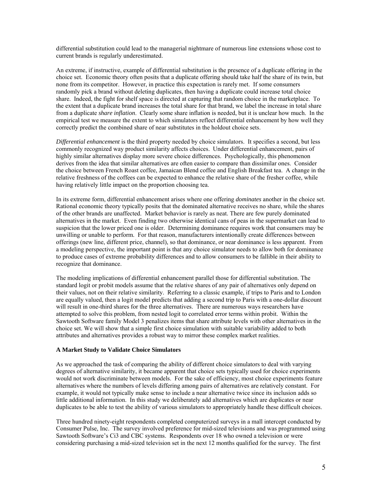differential substitution could lead to the managerial nightmare of numerous line extensions whose cost to current brands is regularly underestimated.

An extreme, if instructive, example of differential substitution is the presence of a duplicate offering in the choice set. Economic theory often posits that a duplicate offering should take half the share of its twin, but none from its competitor. However, in practice this expectation is rarely met. If some consumers randomly pick a brand without deleting duplicates, then having a duplicate could increase total choice share. Indeed, the fight for shelf space is directed at capturing that random choice in the marketplace. To the extent that a duplicate brand increases the total share for that brand, we label the increase in total share from a duplicate *share inflation*. Clearly some share inflation is needed, but it is unclear how much. In the empirical test we measure the extent to which simulators reflect differential enhancement by how well they correctly predict the combined share of near substitutes in the holdout choice sets.

*Differential enhancement* is the third property needed by choice simulators. It specifies a second, but less commonly recognized way product similarity affects choices. Under differential enhancement, pairs of highly similar alternatives display more severe choice differences. Psychologically, this phenomenon derives from the idea that similar alternatives are often easier to compare than dissimilar ones. Consider the choice between French Roast coffee, Jamaican Blend coffee and English Breakfast tea. A change in the relative freshness of the coffees can be expected to enhance the relative share of the fresher coffee, while having relatively little impact on the proportion choosing tea.

In its extreme form, differential enhancement arises where one offering *dominates* another in the choice set. Rational economic theory typically posits that the dominated alternative receives no share, while the shares of the other brands are unaffected. Market behavior is rarely as neat. There are few purely dominated alternatives in the market. Even finding two otherwise identical cans of peas in the supermarket can lead to suspicion that the lower priced one is older. Determining dominance requires work that consumers may be unwilling or unable to perform. For that reason, manufacturers intentionally create differences between offerings (new line, different price, channel), so that dominance, or near dominance is less apparent. From a modeling perspective, the important point is that any choice simulator needs to allow both for dominance to produce cases of extreme probability differences and to allow consumers to be fallible in their ability to recognize that dominance.

The modeling implications of differential enhancement parallel those for differential substitution. The standard logit or probit models assume that the relative shares of any pair of alternatives only depend on their values, not on their relative similarity. Referring to a classic example, if trips to Paris and to London are equally valued, then a logit model predicts that adding a second trip to Paris with a one-dollar discount will result in one-third shares for the three alternatives. There are numerous ways researchers have attempted to solve this problem, from nested logit to correlated error terms within probit. Within the Sawtooth Software family Model 3 penalizes items that share attribute levels with other alternatives in the choice set. We will show that a simple first choice simulation with suitable variability added to both attributes and alternatives provides a robust way to mirror these complex market realities.

#### **A Market Study to Validate Choice Simulators**

As we approached the task of comparing the ability of different choice simulators to deal with varying degrees of alternative similarity, it became apparent that choice sets typically used for choice experiments would not work discriminate between models. For the sake of efficiency, most choice experiments feature alternatives where the numbers of levels differing among pairs of alternatives are relatively constant. For example, it would not typically make sense to include a near alternative twice since its inclusion adds so little additional information. In this study we deliberately add alternatives which are duplicates or near duplicates to be able to test the ability of various simulators to appropriately handle these difficult choices.

Three hundred ninety-eight respondents completed computerized surveys in a mall intercept conducted by Consumer Pulse, Inc. The survey involved preference for mid-sized televisions and was programmed using Sawtooth Software's Ci3 and CBC systems. Respondents over 18 who owned a television or were considering purchasing a mid-sized television set in the next 12 months qualified for the survey. The first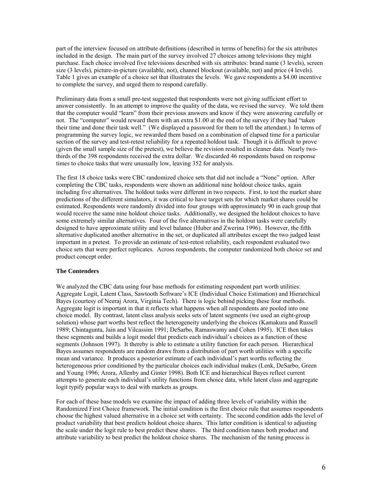part of the interview focused on attribute definitions (described in terms of benefits) for the six attributes included in the design. The main part of the survey involved 27 choices among televisions they might purchase. Each choice involved five televisions described with six attributes: brand name (3 levels), screen size (3 levels), picture-in-picture (available, not), channel blockout (available, not) and price (4 levels). Table 1 gives an example of a choice set that illustrates the levels. We gave respondents a \$4.00 incentive to complete the survey, and urged them to respond carefully.

Preliminary data from a small pre-test suggested that respondents were not giving sufficient effort to answer consistently. In an attempt to improve the quality of the data, we revised the survey. We told them that the computer would "learn" from their previous answers and know if they were answering carefully or not. The "computer" would reward them with an extra \$1.00 at the end of the survey if they had "taken their time and done their task well." (We displayed a password for them to tell the attendant.) In terms of programming the survey logic, we rewarded them based on a combination of elapsed time for a particular section of the survey and test-retest reliability for a repeated holdout task. Though it is difficult to prove (given the small sample size of the pretest), we believe the revision resulted in cleaner data. Nearly twothirds of the 398 respondents received the extra dollar. We discarded 46 respondents based on response times to choice tasks that were unusually low, leaving 352 for analysis.

The first 18 choice tasks were CBC randomized choice sets that did not include a "None" option. After completing the CBC tasks, respondents were shown an additional nine holdout choice tasks, again including five alternatives. The holdout tasks were different in two respects. First, to test the market share predictions of the different simulators, it was critical to have target sets for which market shares could be estimated. Respondents were randomly divided into four groups with approximately 90 in each group that would receive the same nine holdout choice tasks. Additionally, we designed the holdout choices to have some extremely similar alternatives. Four of the five alternatives in the holdout tasks were carefully designed to have approximate utility and level balance (Huber and Zwerina 1996). However, the fifth alternative duplicated another alternative in the set, or duplicated all attributes except the two judged least important in a pretest. To provide an estimate of test-retest reliability, each respondent evaluated two choice sets that were perfect replicates. Across respondents, the computer randomized both choice set and product concept order.

### **The Contenders**

We analyzed the CBC data using four base methods for estimating respondent part worth utilities: Aggregate Logit, Latent Class, Sawtooth Software's ICE (Individual Choice Estimation) and Hierarchical Bayes (courtesy of Neeraj Arora, Virginia Tech). There is logic behind picking these four methods. Aggregate logit is important in that it reflects what happens when all respondents are pooled into one choice model. By contrast, latent class analysis seeks sets of latent segments (we used an eight-group solution) whose part worths best reflect the heterogeneity underlying the choices (Kamakura and Russell 1989; Chintagunta, Jain and Vilcassim 1991; DeSarbo, Ramaswamy and Cohen 1995). ICE then takes these segments and builds a logit model that predicts each individual's choices as a function of these segments (Johnson 1997). It thereby is able to estimate a utility function for each person. Hierarchical Bayes assumes respondents are random draws from a distribution of part worth utilities with a specific mean and variance. It produces a posterior estimate of each individual's part worths reflecting the heterogeneous prior conditioned by the particular choices each individual makes (Lenk, DeSarbo, Green and Young 1996; Arora, Allenby and Ginter 1998). Both ICE and hierarchical Bayes reflect current attempts to generate each individual's utility functions from choice data, while latent class and aggregate logit typify popular ways to deal with markets as groups.

For each of these base models we examine the impact of adding three levels of variability within the Randomized First Choice framework. The initial condition is the first choice rule that assumes respondents choose the highest valued alternative in a choice set with certainty. The second condition adds the level of product variability that best predicts holdout choice shares. This latter condition is identical to adjusting the scale under the logit rule to best predict these shares. The third condition tunes both product and attribute variability to best predict the holdout choice shares. The mechanism of the tuning process is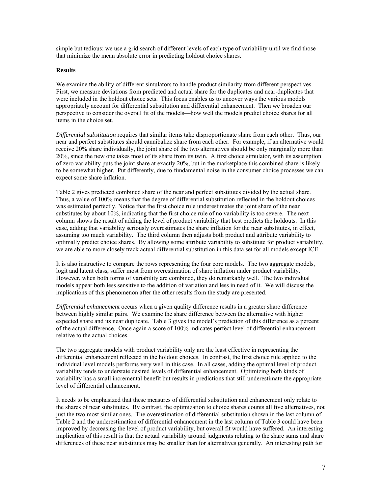simple but tedious: we use a grid search of different levels of each type of variability until we find those that minimize the mean absolute error in predicting holdout choice shares.

#### **Results**

We examine the ability of different simulators to handle product similarity from different perspectives. First, we measure deviations from predicted and actual share for the duplicates and near-duplicates that were included in the holdout choice sets. This focus enables us to uncover ways the various models appropriately account for differential substitution and differential enhancement. Then we broaden our perspective to consider the overall fit of the models—how well the models predict choice shares for all items in the choice set.

*Differential substitution* requires that similar items take disproportionate share from each other. Thus, our near and perfect substitutes should cannibalize share from each other. For example, if an alternative would receive 20% share individually, the joint share of the two alternatives should be only marginally more than 20%, since the new one takes most of its share from its twin. A first choice simulator, with its assumption of zero variability puts the joint share at exactly 20%, but in the marketplace this combined share is likely to be somewhat higher. Put differently, due to fundamental noise in the consumer choice processes we can expect some share inflation.

Table 2 gives predicted combined share of the near and perfect substitutes divided by the actual share. Thus, a value of 100% means that the degree of differential substitution reflected in the holdout choices was estimated perfectly. Notice that the first choice rule underestimates the joint share of the near substitutes by about 10%, indicating that the first choice rule of no variability is too severe. The next column shows the result of adding the level of product variability that best predicts the holdouts. In this case, adding that variability seriously overestimates the share inflation for the near substitutes, in effect, assuming too much variability. The third column then adjusts both product and attribute variability to optimally predict choice shares. By allowing some attribute variability to substitute for product variability, we are able to more closely track actual differential substitution in this data set for all models except ICE.

It is also instructive to compare the rows representing the four core models. The two aggregate models, logit and latent class, suffer most from overestimation of share inflation under product variability. However, when both forms of variability are combined, they do remarkably well. The two individual models appear both less sensitive to the addition of variation and less in need of it. We will discuss the implications of this phenomenon after the other results from the study are presented.

*Differential enhancement* occurs when a given quality difference results in a greater share difference between highly similar pairs. We examine the share difference between the alternative with higher expected share and its near duplicate. Table 3 gives the model's prediction of this difference as a percent of the actual difference. Once again a score of 100% indicates perfect level of differential enhancement relative to the actual choices.

The two aggregate models with product variability only are the least effective in representing the differential enhancement reflected in the holdout choices. In contrast, the first choice rule applied to the individual level models performs very well in this case. In all cases, adding the optimal level of product variability tends to understate desired levels of differential enhancement. Optimizing both kinds of variability has a small incremental benefit but results in predictions that still underestimate the appropriate level of differential enhancement.

It needs to be emphasized that these measures of differential substitution and enhancement only relate to the shares of near substitutes. By contrast, the optimization to choice shares counts all five alternatives, not just the two most similar ones. The overestimation of differential substitution shown in the last column of Table 2 and the underestimation of differential enhancement in the last column of Table 3 could have been improved by decreasing the level of product variability, but overall fit would have suffered. An interesting implication of this result is that the actual variability around judgments relating to the share sums and share differences of these near substitutes may be smaller than for alternatives generally. An interesting path for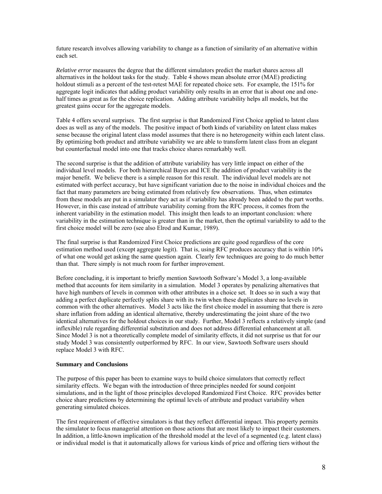future research involves allowing variability to change as a function of similarity of an alternative within each set.

*Relative error* measures the degree that the different simulators predict the market shares across all alternatives in the holdout tasks for the study. Table 4 shows mean absolute error (MAE) predicting holdout stimuli as a percent of the test-retest MAE for repeated choice sets. For example, the 151% for aggregate logit indicates that adding product variability only results in an error that is about one and onehalf times as great as for the choice replication. Adding attribute variability helps all models, but the greatest gains occur for the aggregate models.

Table 4 offers several surprises. The first surprise is that Randomized First Choice applied to latent class does as well as any of the models. The positive impact of both kinds of variability on latent class makes sense because the original latent class model assumes that there is no heterogeneity within each latent class. By optimizing both product and attribute variability we are able to transform latent class from an elegant but counterfactual model into one that tracks choice shares remarkably well.

The second surprise is that the addition of attribute variability has very little impact on either of the individual level models. For both hierarchical Bayes and ICE the addition of product variability is the major benefit. We believe there is a simple reason for this result. The individual level models are not estimated with perfect accuracy, but have significant variation due to the noise in individual choices and the fact that many parameters are being estimated from relatively few observations. Thus, when estimates from these models are put in a simulator they act as if variability has already been added to the part worths. However, in this case instead of attribute variability coming from the RFC process, it comes from the inherent variability in the estimation model. This insight then leads to an important conclusion: where variability in the estimation technique is greater than in the market, then the optimal variability to add to the first choice model will be zero (see also Elrod and Kumar, 1989).

The final surprise is that Randomized First Choice predictions are quite good regardless of the core estimation method used (except aggregate logit). That is, using RFC produces accuracy that is within 10% of what one would get asking the same question again. Clearly few techniques are going to do much better than that. There simply is not much room for further improvement.

Before concluding, it is important to briefly mention Sawtooth Software's Model 3, a long-available method that accounts for item similarity in a simulation. Model 3 operates by penalizing alternatives that have high numbers of levels in common with other attributes in a choice set. It does so in such a way that adding a perfect duplicate perfectly splits share with its twin when these duplicates share no levels in common with the other alternatives. Model 3 acts like the first choice model in assuming that there is zero share inflation from adding an identical alternative, thereby underestimating the joint share of the two identical alternatives for the holdout choices in our study. Further, Model 3 reflects a relatively simple (and inflexible) rule regarding differential substitution and does not address differential enhancement at all. Since Model 3 is not a theoretically complete model of similarity effects, it did not surprise us that for our study Model 3 was consistently outperformed by RFC. In our view, Sawtooth Software users should replace Model 3 with RFC.

#### **Summary and Conclusions**

The purpose of this paper has been to examine ways to build choice simulators that correctly reflect similarity effects. We began with the introduction of three principles needed for sound conjoint simulations, and in the light of those principles developed Randomized First Choice. RFC provides better choice share predictions by determining the optimal levels of attribute and product variability when generating simulated choices.

The first requirement of effective simulators is that they reflect differential impact. This property permits the simulator to focus managerial attention on those actions that are most likely to impact their customers. In addition, a little-known implication of the threshold model at the level of a segmented (e.g. latent class) or individual model is that it automatically allows for various kinds of price and offering tiers without the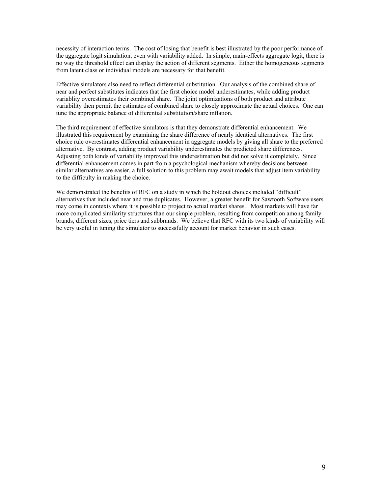necessity of interaction terms. The cost of losing that benefit is best illustrated by the poor performance of the aggregate logit simulation, even with variability added. In simple, main-effects aggregate logit, there is no way the threshold effect can display the action of different segments. Either the homogeneous segments from latent class or individual models are necessary for that benefit.

Effective simulators also need to reflect differential substitution. Our analysis of the combined share of near and perfect substitutes indicates that the first choice model underestimates, while adding product variablity overestimates their combined share. The joint optimizations of both product and attribute variability then permit the estimates of combined share to closely approximate the actual choices. One can tune the appropriate balance of differential substitution/share inflation.

The third requirement of effective simulators is that they demonstrate differential enhancement. We illustrated this requirement by examining the share difference of nearly identical alternatives. The first choice rule overestimates differential enhancement in aggregate models by giving all share to the preferred alternative. By contrast, adding product variability underestimates the predicted share differences. Adjusting both kinds of variability improved this underestimation but did not solve it completely. Since differential enhancement comes in part from a psychological mechanism whereby decisions between similar alternatives are easier, a full solution to this problem may await models that adjust item variability to the difficulty in making the choice.

We demonstrated the benefits of RFC on a study in which the holdout choices included "difficult" alternatives that included near and true duplicates. However, a greater benefit for Sawtooth Software users may come in contexts where it is possible to project to actual market shares. Most markets will have far more complicated similarity structures than our simple problem, resulting from competition among family brands, different sizes, price tiers and subbrands. We believe that RFC with its two kinds of variability will be very useful in tuning the simulator to successfully account for market behavior in such cases.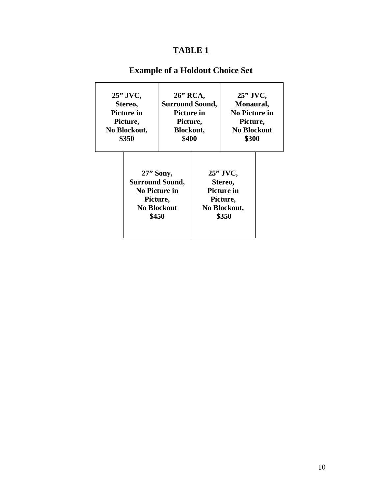### **Example of a Holdout Choice Set**

| 25" JVC,     |                                                                                                    | 26" RCA,               |  | 25" JVC,                                                                      |  |
|--------------|----------------------------------------------------------------------------------------------------|------------------------|--|-------------------------------------------------------------------------------|--|
| Stereo,      |                                                                                                    | <b>Surround Sound,</b> |  | Monaural,                                                                     |  |
| Picture in   |                                                                                                    | <b>Picture</b> in      |  | No Picture in                                                                 |  |
| Picture,     |                                                                                                    | Picture,               |  | Picture,                                                                      |  |
| No Blockout, |                                                                                                    | Blockout,              |  | <b>No Blockout</b>                                                            |  |
| \$350        |                                                                                                    | \$400                  |  | \$300                                                                         |  |
|              | $27$ " Sony,<br><b>Surround Sound,</b><br>No Picture in<br>Picture,<br><b>No Blockout</b><br>\$450 |                        |  | 25" JVC,<br>Stereo,<br><b>Picture in</b><br>Picture,<br>No Blockout,<br>\$350 |  |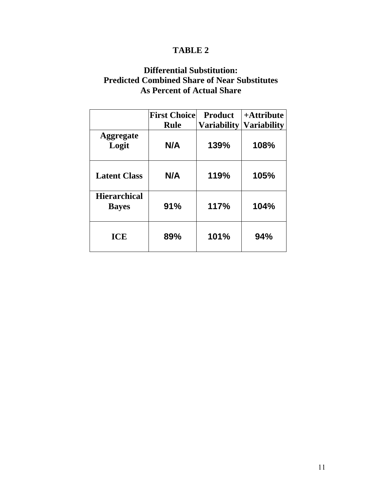### **Differential Substitution: Predicted Combined Share of Near Substitutes As Percent of Actual Share**

|                                     | <b>First Choice</b><br><b>Rule</b> | <b>Product</b><br><b>Variability</b> | $+A$ ttribute<br><b>Variability</b> |
|-------------------------------------|------------------------------------|--------------------------------------|-------------------------------------|
| <b>Aggregate</b><br>Logit           | N/A                                | 139%                                 | 108%                                |
| <b>Latent Class</b>                 | N/A                                | 119%                                 | 105%                                |
| <b>Hierarchical</b><br><b>Bayes</b> | 91%                                | 117%                                 | 104%                                |
| <b>ICE</b>                          | 89%                                | 101%                                 | 94%                                 |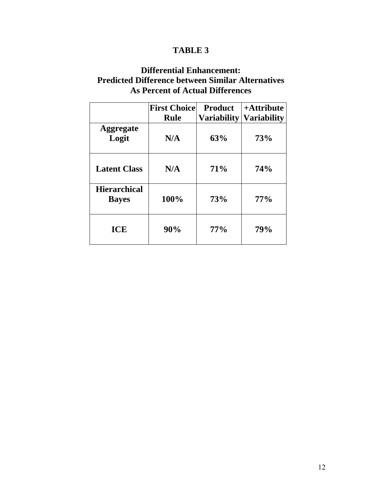### **Differential Enhancement: Predicted Difference between Similar Alternatives As Percent of Actual Differences**

|                                     | <b>First Choice</b><br><b>Rule</b> | <b>Product</b> | $+A$ ttribute<br>Variability   Variability |
|-------------------------------------|------------------------------------|----------------|--------------------------------------------|
| <b>Aggregate</b><br>Logit           | N/A                                | 63%            | 73%                                        |
| <b>Latent Class</b>                 | N/A                                | 71%            | 74%                                        |
| <b>Hierarchical</b><br><b>Bayes</b> | 100%                               | 73%            | 77%                                        |
| <b>ICE</b>                          | 90%                                | 77%            | 79%                                        |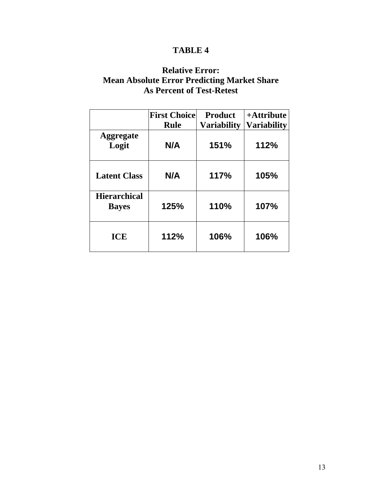### **Relative Error: Mean Absolute Error Predicting Market Share As Percent of Test-Retest**

|                                     | <b>First Choice</b><br><b>Rule</b> | <b>Product</b><br><b>Variability</b> | $+A$ ttribute<br><b>Variability</b> |
|-------------------------------------|------------------------------------|--------------------------------------|-------------------------------------|
| <b>Aggregate</b><br>Logit           | N/A                                | 151%                                 | 112%                                |
| <b>Latent Class</b>                 | N/A                                | 117%                                 | 105%                                |
| <b>Hierarchical</b><br><b>Bayes</b> | 125%                               | 110%                                 | 107%                                |
| <b>ICE</b>                          | 112%                               | 106%                                 | 106%                                |